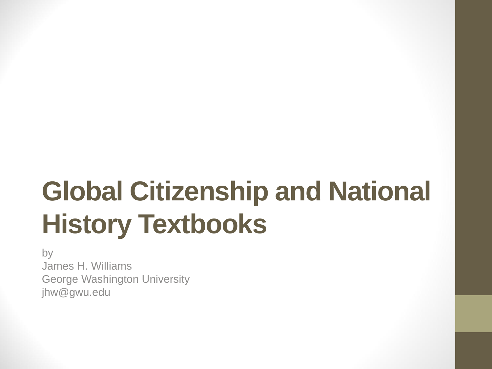# **Global Citizenship and National History Textbooks**

by James H. Williams George Washington University jhw@gwu.edu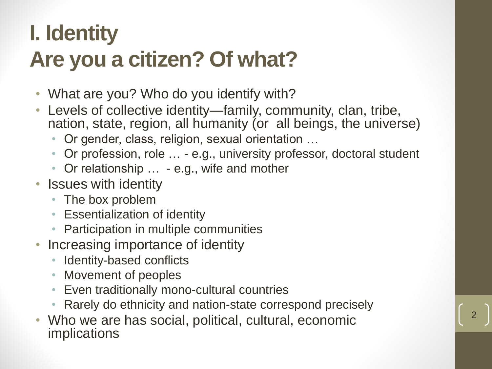### **I. Identity Are you a citizen? Of what?**

- What are you? Who do you identify with?
- Levels of collective identity—family, community, clan, tribe, nation, state, region, all humanity (or all beings, the universe)
	- Or gender, class, religion, sexual orientation …
	- Or profession, role … e.g., university professor, doctoral student
	- Or relationship ... e.g., wife and mother
- Issues with identity
	- The box problem
	- Essentialization of identity
	- Participation in multiple communities
- Increasing importance of identity
	- Identity-based conflicts
	- Movement of peoples
	- Even traditionally mono-cultural countries
	- Rarely do ethnicity and nation-state correspond precisely

2

• Who we are has social, political, cultural, economic implications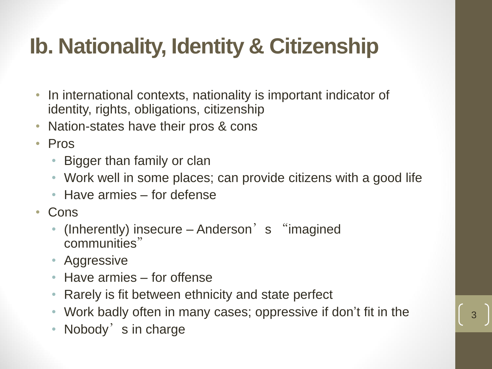# **Ib. Nationality, Identity & Citizenship**

- In international contexts, nationality is important indicator of identity, rights, obligations, citizenship
- Nation-states have their pros & cons
- Pros
	- Bigger than family or clan
	- Work well in some places; can provide citizens with a good life
	- Have armies for defense
- Cons
	- (Inherently) insecure Anderson's "imagined communities"
	- Aggressive
	- Have armies for offense
	- Rarely is fit between ethnicity and state perfect
	- Work badly often in many cases; oppressive if don't fit in the
	- Nobody's in charge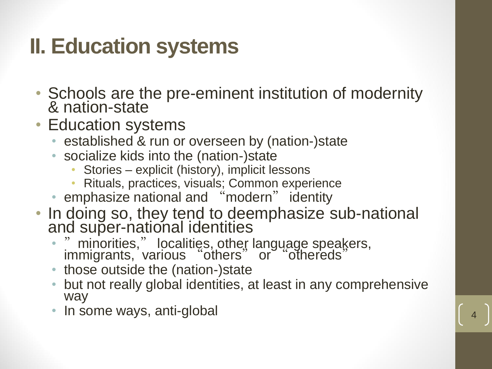#### **II. Education systems**

- Schools are the pre-eminent institution of modernity & nation-state
- Education systems
	- established & run or overseen by (nation-)state
	- socialize kids into the (nation-)state
		- Stories explicit (history), implicit lessons
		- Rituals, practices, visuals; Common experience
	- emphasize national and "modern" identity
- In doing so, they tend to deemphasize sub-national and super-national identities
	- "minorities," localities, other language speakers, immigrants, various "others" or "othereds"
	- those outside the (nation-)state
	- but not really global identities, at least in any comprehensive way
	- In some ways, anti-global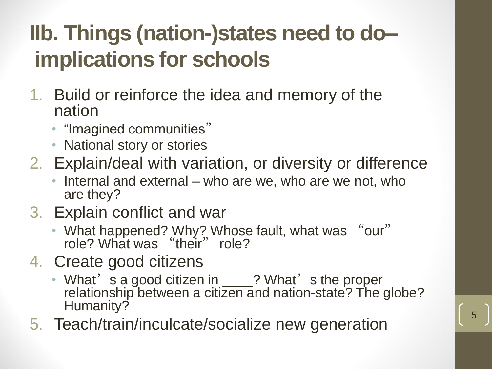## **IIb. Things (nation-)states need to do– implications for schools**

- 1. Build or reinforce the idea and memory of the nation
	- "Imagined communities"
	- National story or stories
- 2. Explain/deal with variation, or diversity or difference
	- Internal and external who are we, who are we not, who are they?
- 3. Explain conflict and war
	- What happened? Why? Whose fault, what was "our" role? What was "their" role?
- 4. Create good citizens
	- What's a good citizen in \_\_\_\_? What's the proper relationship between a citizen and nation-state? The globe? Humanity?
- 5. Teach/train/inculcate/socialize new generation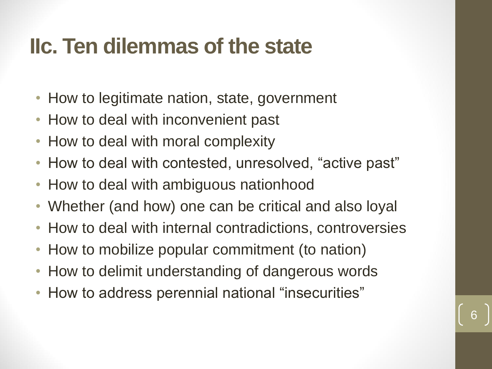#### **IIc. Ten dilemmas of the state**

- How to legitimate nation, state, government
- How to deal with inconvenient past
- How to deal with moral complexity
- How to deal with contested, unresolved, "active past"
- How to deal with ambiguous nationhood
- Whether (and how) one can be critical and also loyal
- How to deal with internal contradictions, controversies

- How to mobilize popular commitment (to nation)
- How to delimit understanding of dangerous words
- How to address perennial national "insecurities"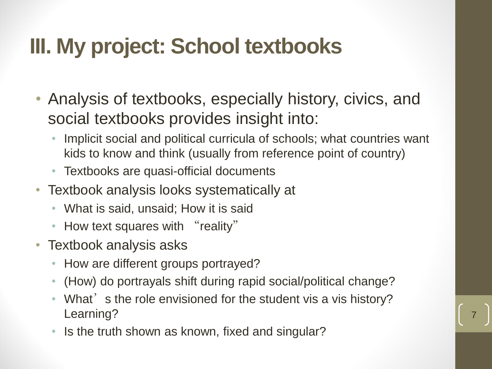#### **III. My project: School textbooks**

- Analysis of textbooks, especially history, civics, and social textbooks provides insight into:
	- Implicit social and political curricula of schools; what countries want kids to know and think (usually from reference point of country)
	- Textbooks are quasi-official documents
- Textbook analysis looks systematically at
	- What is said, unsaid; How it is said
	- How text squares with "reality"
- Textbook analysis asks
	- How are different groups portrayed?
	- (How) do portrayals shift during rapid social/political change?
	- What's the role envisioned for the student vis a vis history? Learning?

7

Is the truth shown as known, fixed and singular?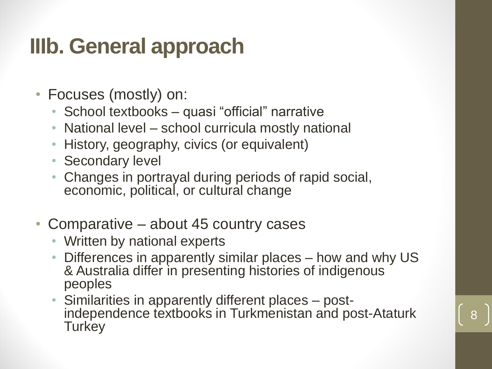#### **IIIb. General approach**

- Focuses (mostly) on:
	- School textbooks quasi "official" narrative
	- National level school curricula mostly national
	- History, geography, civics (or equivalent)
	- Secondary level
	- Changes in portrayal during periods of rapid social, economic, political, or cultural change
- Comparative about 45 country cases
	- Written by national experts
	- Differences in apparently similar places how and why US & Australia differ in presenting histories of indigenous peoples
	- Similarities in apparently different places postindependence textbooks in Turkmenistan and post-Ataturk **Turkey**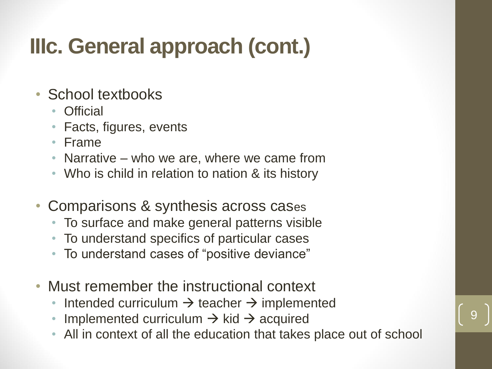### **IIIc. General approach (cont.)**

#### • School textbooks

- Official
- Facts, figures, events
- Frame
- Narrative who we are, where we came from
- Who is child in relation to nation & its history
- Comparisons & synthesis across cases
	- To surface and make general patterns visible
	- To understand specifics of particular cases
	- To understand cases of "positive deviance"
- Must remember the instructional context
	- Intended curriculum  $\rightarrow$  teacher  $\rightarrow$  implemented
	- Implemented curriculum  $\rightarrow$  kid  $\rightarrow$  acquired
	- All in context of all the education that takes place out of school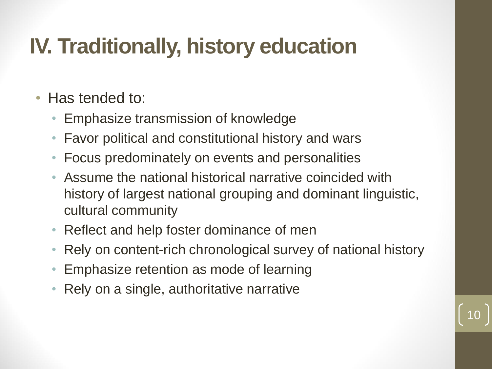#### **IV. Traditionally, history education**

- Has tended to:
	- Emphasize transmission of knowledge
	- Favor political and constitutional history and wars
	- Focus predominately on events and personalities
	- Assume the national historical narrative coincided with history of largest national grouping and dominant linguistic, cultural community
	- Reflect and help foster dominance of men
	- Rely on content-rich chronological survey of national history

- Emphasize retention as mode of learning
- Rely on a single, authoritative narrative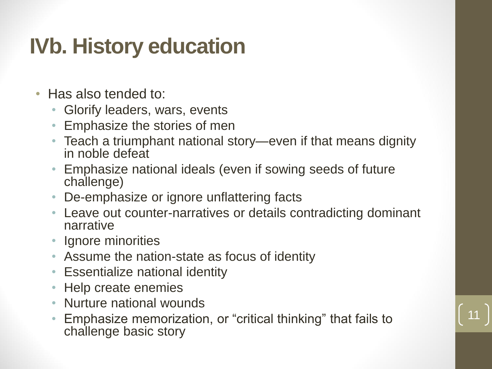#### **IVb. History education**

- Has also tended to:
	- Glorify leaders, wars, events
	- Emphasize the stories of men
	- Teach a triumphant national story—even if that means dignity in noble defeat
	- Emphasize national ideals (even if sowing seeds of future challenge)
	- De-emphasize or ignore unflattering facts
	- Leave out counter-narratives or details contradicting dominant narrative
	- Ignore minorities
	- Assume the nation-state as focus of identity
	- Essentialize national identity
	- Help create enemies
	- Nurture national wounds
	- Emphasize memorization, or "critical thinking" that fails to challenge basic story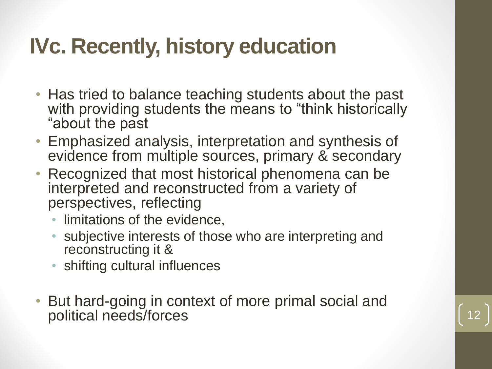#### **IVc. Recently, history education**

- Has tried to balance teaching students about the past with providing students the means to "think historically" "about the past
- Emphasized analysis, interpretation and synthesis of evidence from multiple sources, primary & secondary
- Recognized that most historical phenomena can be interpreted and reconstructed from a variety of perspectives, reflecting
	- limitations of the evidence,
	- subjective interests of those who are interpreting and reconstructing it &
	- shifting cultural influences
- But hard-going in context of more primal social and political needs/forces 12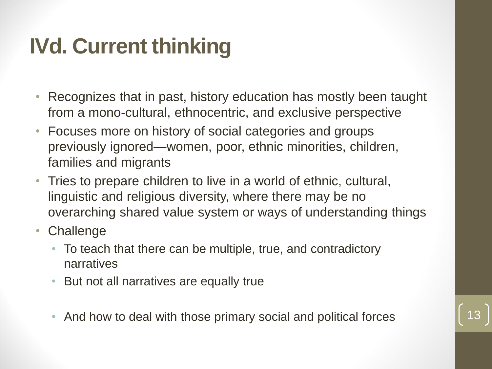# **IVd. Current thinking**

- Recognizes that in past, history education has mostly been taught from a mono-cultural, ethnocentric, and exclusive perspective
- Focuses more on history of social categories and groups previously ignored—women, poor, ethnic minorities, children, families and migrants
- Tries to prepare children to live in a world of ethnic, cultural, linguistic and religious diversity, where there may be no overarching shared value system or ways of understanding things
- Challenge
	- To teach that there can be multiple, true, and contradictory narratives
	- But not all narratives are equally true
	- And how to deal with those primary social and political forces

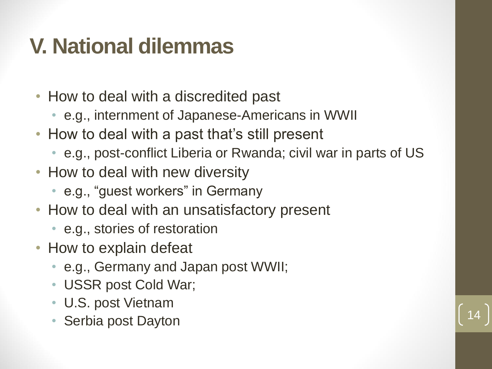#### **V. National dilemmas**

- How to deal with a discredited past
	- e.g., internment of Japanese-Americans in WWII
- How to deal with a past that's still present
	- e.g., post-conflict Liberia or Rwanda; civil war in parts of US
- How to deal with new diversity
	- e.g., "guest workers" in Germany
- How to deal with an unsatisfactory present
	- e.g., stories of restoration
- How to explain defeat
	- e.g., Germany and Japan post WWII;
	- USSR post Cold War;
	- U.S. post Vietnam
	- Serbia post Dayton

$$
\left.\begin{array}{c} 14 \end{array}\right)
$$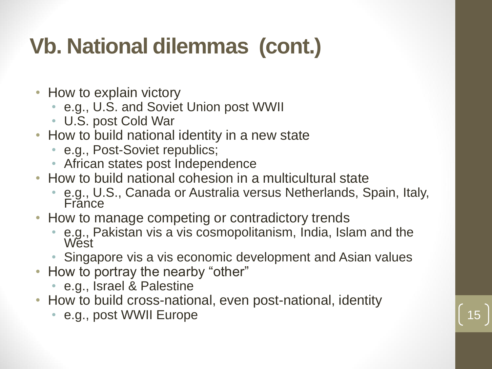# **Vb. National dilemmas (cont.)**

- How to explain victory
	- e.g., U.S. and Soviet Union post WWII
	- U.S. post Cold War
- How to build national identity in a new state
	- e.g., Post-Soviet republics;
	- African states post Independence
- How to build national cohesion in a multicultural state
	- e.g., U.S., Canada or Australia versus Netherlands, Spain, Italy, France
- How to manage competing or contradictory trends
	- e.g., Pakistan vis a vis cosmopolitanism, India, Islam and the **West**
	- Singapore vis a vis economic development and Asian values
- How to portray the nearby "other"
	- e.g., Israel & Palestine
- How to build cross-national, even post-national, identity
	- e.g., post WWII Europe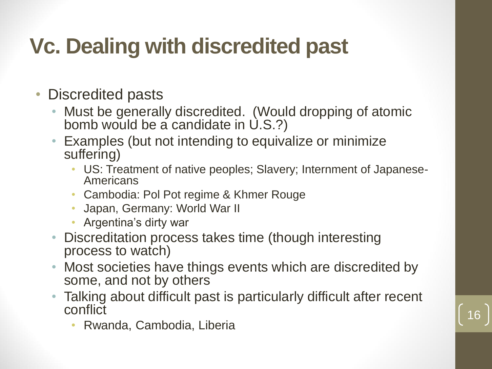## **Vc. Dealing with discredited past**

- Discredited pasts
	- Must be generally discredited. (Would dropping of atomic bomb would be a candidate in U.S.?)
	- Examples (but not intending to equivalize or minimize suffering)
		- US: Treatment of native peoples; Slavery; Internment of Japanese-Americans
		- Cambodia: Pol Pot regime & Khmer Rouge
		- Japan, Germany: World War II
		- Argentina's dirty war
	- Discreditation process takes time (though interesting process to watch)
	- Most societies have things events which are discredited by some, and not by others
	- Talking about difficult past is particularly difficult after recent conflict

16

• Rwanda, Cambodia, Liberia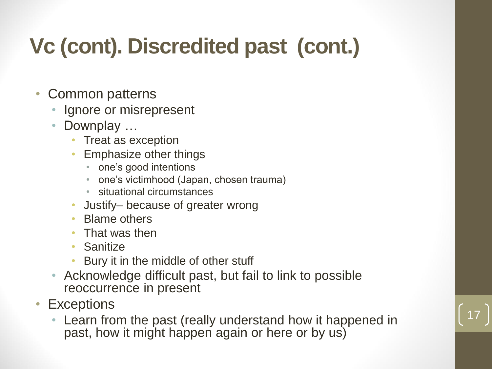# **Vc (cont). Discredited past (cont.)**

- Common patterns
	- Ignore or misrepresent
	- Downplay ...
		- Treat as exception
		- Emphasize other things
			- one's good intentions
			- one's victimhood (Japan, chosen trauma)
			- situational circumstances
		- Justify– because of greater wrong
		- Blame others
		- That was then
		- Sanitize
		- Bury it in the middle of other stuff
	- Acknowledge difficult past, but fail to link to possible reoccurrence in present
- Exceptions
	- Learn from the past (really understand how it happened in past, how it might happen again or here or by us)

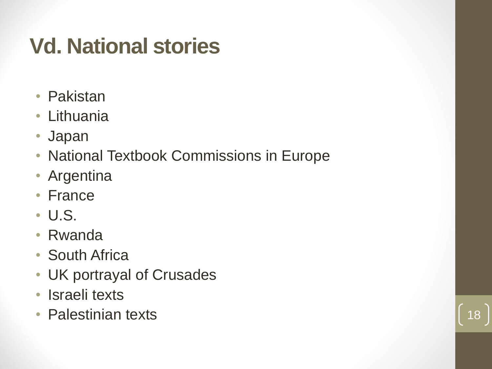#### **Vd. National stories**

- Pakistan
- Lithuania
- Japan
- National Textbook Commissions in Europe
- Argentina
- France
- U.S.
- Rwanda
- South Africa
- UK portrayal of Crusades
- Israeli texts
- Palestinian texts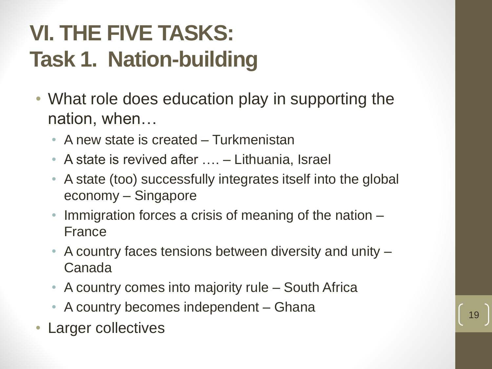# **VI. THE FIVE TASKS: Task 1. Nation-building**

- What role does education play in supporting the nation, when…
	- A new state is created Turkmenistan
	- A state is revived after …. Lithuania, Israel
	- A state (too) successfully integrates itself into the global economy – Singapore
	- Immigration forces a crisis of meaning of the nation France
	- A country faces tensions between diversity and unity Canada
	- A country comes into majority rule South Africa
	- A country becomes independent Ghana
- Larger collectives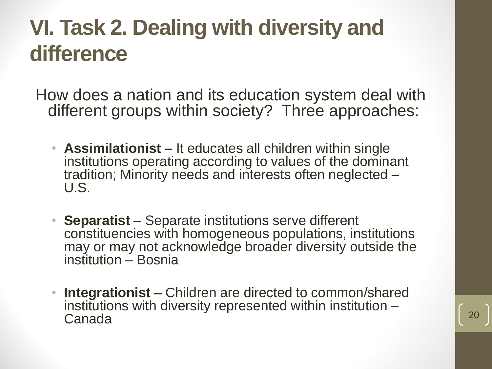#### **VI. Task 2. Dealing with diversity and difference**

How does a nation and its education system deal with different groups within society? Three approaches:

- **Assimilationist –** It educates all children within single institutions operating according to values of the dominant tradition; Minority needs and interests often neglected – U.S.
- **Separatist –** Separate institutions serve different constituencies with homogeneous populations, institutions may or may not acknowledge broader diversity outside the institution – Bosnia
- **Integrationist –** Children are directed to common/shared institutions with diversity represented within institution – Canada 20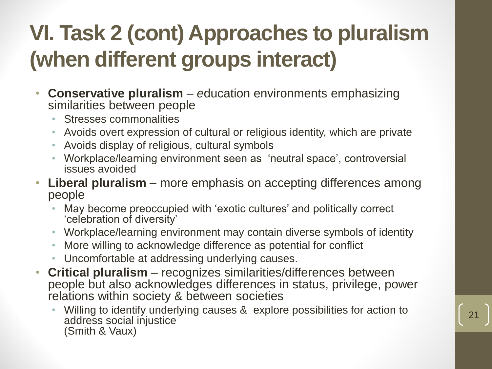# **VI. Task 2 (cont) Approaches to pluralism (when different groups interact)**

- **Conservative pluralism** *– e*ducation environments emphasizing similarities between people
	- Stresses commonalities
	- Avoids overt expression of cultural or religious identity, which are private
	- Avoids display of religious, cultural symbols
	- Workplace/learning environment seen as 'neutral space', controversial issues avoided
- **Liberal pluralism** *–* more emphasis on accepting differences among people
	- May become preoccupied with 'exotic cultures' and politically correct 'celebration of diversity'
	- Workplace/learning environment may contain diverse symbols of identity
	- More willing to acknowledge difference as potential for conflict
	- Uncomfortable at addressing underlying causes.
- **Critical pluralism** *–* recognizes similarities/differences between people but also acknowledges differences in status, privilege, power relations within society & between societies
	- Willing to identify underlying causes & explore possibilities for action to address social injustice (Smith & Vaux)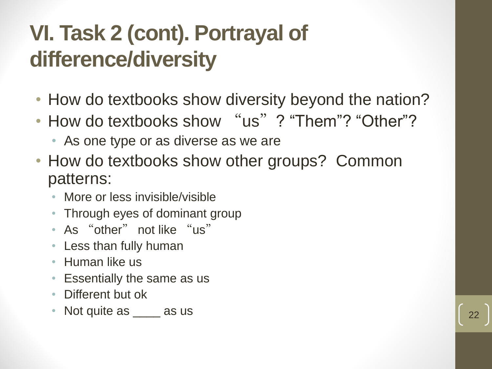#### **VI. Task 2 (cont). Portrayal of difference/diversity**

- How do textbooks show diversity beyond the nation?
- How do textbooks show "us"? "Them"? "Other"?
	- As one type or as diverse as we are
- How do textbooks show other groups? Common patterns:
	- More or less invisible/visible
	- Through eyes of dominant group
	- As "other" not like "us"
	- Less than fully human
	- Human like us
	- Essentially the same as us
	- Different but ok
	- Not quite as  $\frac{1}{22}$  as us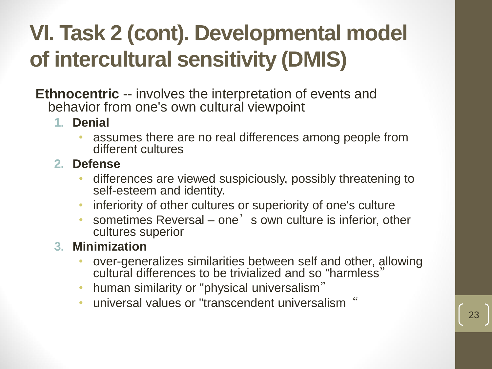# **VI. Task 2 (cont). Developmental model of intercultural sensitivity (DMIS)**

**Ethnocentric** -- involves the interpretation of events and behavior from one's own cultural viewpoint

- **1. Denial** 
	- assumes there are no real differences among people from different cultures
- **2. Defense** 
	- differences are viewed suspiciously, possibly threatening to self-esteem and identity.
	- inferiority of other cultures or superiority of one's culture
	- sometimes Reversal one's own culture is inferior, other cultures superior
- **3. Minimization** 
	- over-generalizes similarities between self and other, allowing cultural differences to be trivialized and so "harmless"
	- human similarity or "physical universalism"
	- universal values or "transcendent universalism"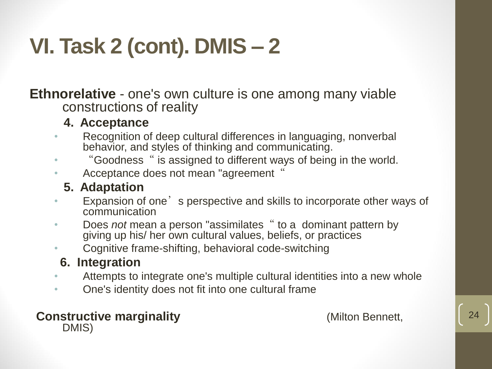# **VI. Task 2 (cont). DMIS – 2**

**Ethnorelative** - one's own culture is one among many viable constructions of reality

- **4. Acceptance**
- Recognition of deep cultural differences in languaging, nonverbal behavior, and styles of thinking and communicating.
- "Goodness " is assigned to different ways of being in the world.
- Acceptance does not mean "agreement"
	- **5. Adaptation**
- Expansion of one state perspective and skills to incorporate other ways of communication
- Does *not* mean a person "assimilates" to a dominant pattern by giving up his/ her own cultural values, beliefs, or practices
- Cognitive frame-shifting, behavioral code-switching

#### **6. Integration**

- Attempts to integrate one's multiple cultural identities into a new whole
- One's identity does not fit into one cultural frame

**Constructive marginality** *Constructive marginality* (Milton Bennett, DMIS)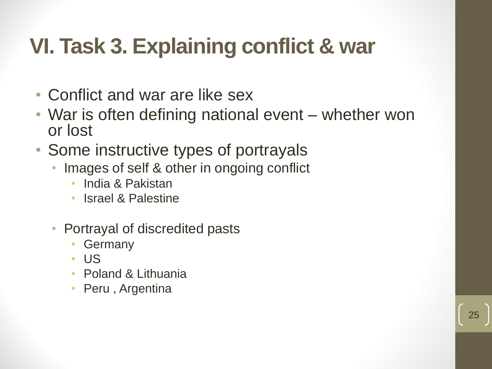#### **VI. Task 3. Explaining conflict & war**

- Conflict and war are like sex
- War is often defining national event whether won or lost

- Some instructive types of portrayals
	- Images of self & other in ongoing conflict
		- India & Pakistan
		- Israel & Palestine
	- Portrayal of discredited pasts
		- **Germany**
		- US
		- Poland & Lithuania
		- Peru, Argentina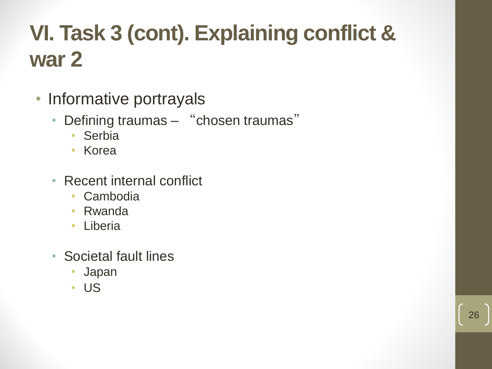## **VI. Task 3 (cont). Explaining conflict & war 2**

- Informative portrayals
	- Defining traumas "chosen traumas"
		- Serbia
		- Korea
	- Recent internal conflict
		- Cambodia
		- Rwanda
		- Liberia
	- Societal fault lines
		- Japan
		- US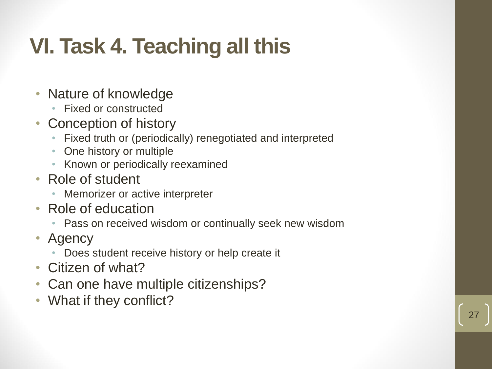# **VI. Task 4. Teaching all this**

- Nature of knowledge
	- Fixed or constructed
- Conception of history
	- Fixed truth or (periodically) renegotiated and interpreted
	- One history or multiple
	- Known or periodically reexamined
- Role of student
	- Memorizer or active interpreter
- Role of education
	- Pass on received wisdom or continually seek new wisdom
- Agency
	- Does student receive history or help create it
- Citizen of what?
- Can one have multiple citizenships?
- What if they conflict?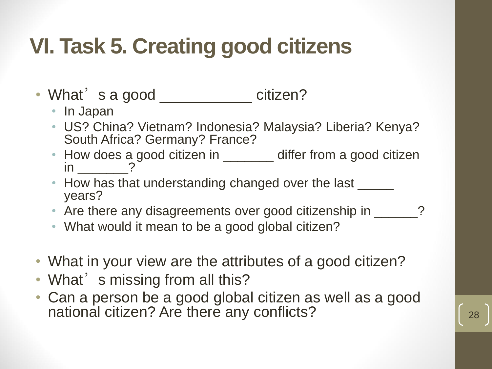#### **VI. Task 5. Creating good citizens**

- What's a good \_\_\_\_\_\_\_\_\_\_\_ citizen?
	- In Japan
	- US? China? Vietnam? Indonesia? Malaysia? Liberia? Kenya? South Africa? Germany? France?
	- How does a good citizen in \_\_\_\_\_\_\_ differ from a good citizen in  $\gamma$
	- How has that understanding changed over the last \_\_\_\_\_\_ years?
	- Are there any disagreements over good citizenship in \_\_\_\_\_\_?
	- What would it mean to be a good global citizen?
- What in your view are the attributes of a good citizen?
- What's missing from all this?
- Can a person be a good global citizen as well as a good national citizen? Are there any conflicts?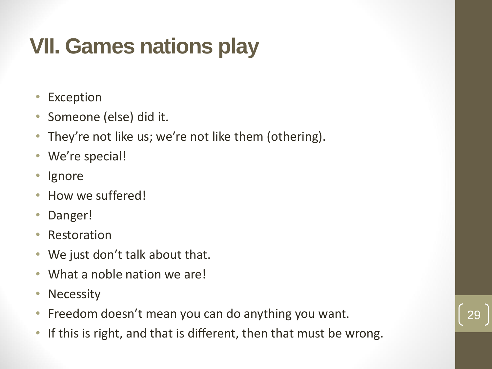# **VII. Games nations play**

- Exception
- Someone (else) did it.
- They're not like us; we're not like them (othering).
- We're special!
- Ignore
- How we suffered!
- Danger!
- Restoration
- We just don't talk about that.
- What a noble nation we are!
- Necessity
- Freedom doesn't mean you can do anything you want.
- If this is right, and that is different, then that must be wrong.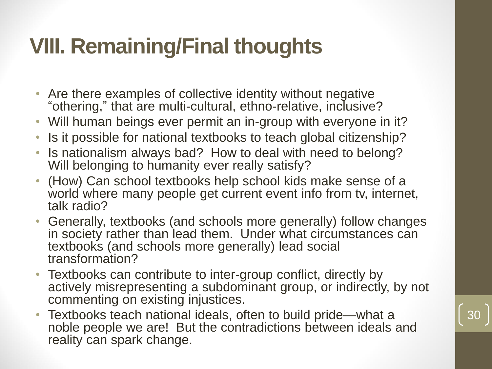#### **VIII. Remaining/Final thoughts**

- Are there examples of collective identity without negative "othering," that are multi-cultural, ethno-relative, inclusive?
- Will human beings ever permit an in-group with everyone in it?
- Is it possible for national textbooks to teach global citizenship?
- Is nationalism always bad? How to deal with need to belong? Will belonging to humanity ever really satisfy?
- (How) Can school textbooks help school kids make sense of a world where many people get current event info from tv, internet, talk radio?
- Generally, textbooks (and schools more generally) follow changes in society rather than lead them. Under what circumstances can textbooks (and schools more generally) lead social transformation?
- Textbooks can contribute to inter-group conflict, directly by actively misrepresenting a subdominant group, or indirectly, by not commenting on existing injustices.

30

• Textbooks teach national ideals, often to build pride—what a noble people we are! But the contradictions between ideals and reality can spark change.